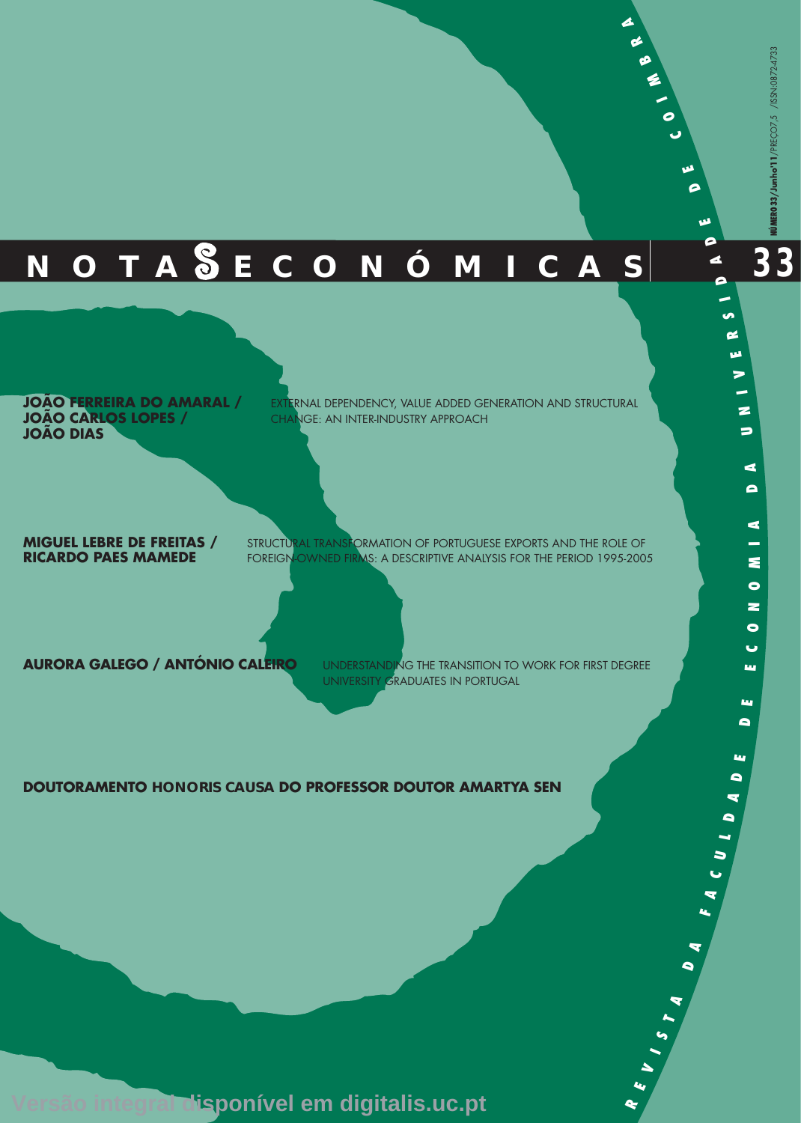**33**

# **N O T A E C O N Ó M I C A S**

**JOÃO FERREIRA DO AMARAL / JOÃO CARLOS LOPES / JOÃO DIAS**

EXTERNAL DEPENDENCY, VALUE ADDED GENERATION AND STRUCTURAL CHANGE: AN INTER-INDUSTRY APPROACH

**MIGUEL LEBRE DE FREITAS / RICARDO PAES MAMEDE**

STRUCTURAL TRANSFORMATION OF PORTUGUESE EXPORTS AND THE ROLE OF FOREIGN-OWNED FIRMS: A DESCRIPTIVE ANALYSIS FOR THE PERIOD 1995-2005

**AURORA GALEGO / ANTÓNIO CALEIRO**

UNDERSTANDING THE TRANSITION TO WORK FOR FIRST DEGREE UNIVERSITY GRADUATES IN PORTUGAL

> **RE**

**V I S**

 $\blacktriangle$ **A**

 $\bullet$ **A**

**FA C U L**  $\blacksquare$ **AD**

**E D E E C O**

**Lu** 

щ  $\bullet$ 

**NO**

 $\bullet$  $\bullet$ ia.

**M I A**

**D A**

 $\Rightarrow$ 

**N I V E R**

**S I D**

**A D این** 

**D E**

**C**

**O I M**

**B R A**

### **DOUTORAMENTO HONORIS CAUSA DO PROFESSOR DOUTOR AMARTYA SEN**

**Versão integral disponível em digitalis.uc.pt**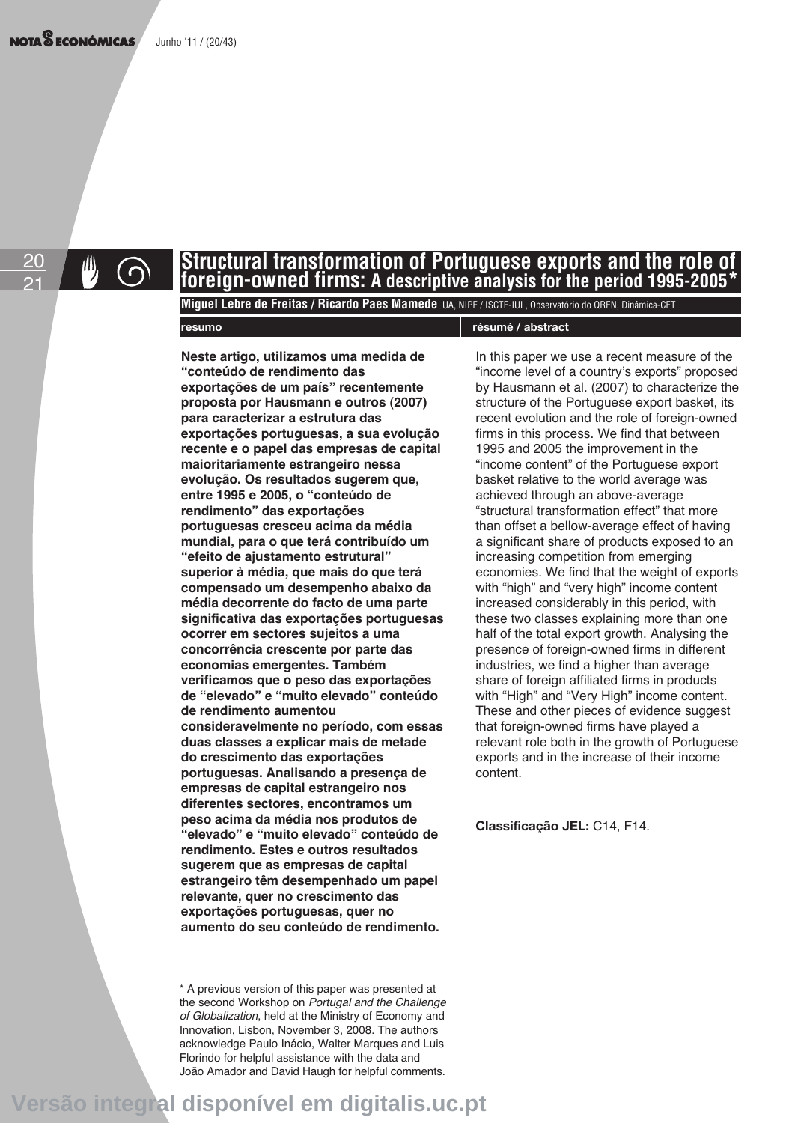20 21

# **Structural transformation of Portuguese exports and the role of foreign-owned firms: A descriptive analysis for the period 1995-2005\***

**Miguel Lebre de Freitas / Ricardo Paes Mamede** UA, NIPE / ISCTE-IUL, Observatório do QREN, Dinâmica-CET

### **resumo résumé / abstract**

**Neste artigo, utilizamos uma medida de "conteúdo de rendimento das exportações de um país" recentemente proposta por Hausmann e outros (2007) para caracterizar a estrutura das exportações portuguesas, a sua evolução recente e o papel das empresas de capital maioritariamente estrangeiro nessa evolução. Os resultados sugerem que, entre 1995 e 2005, o "conteúdo de rendimento" das exportações portuguesas cresceu acima da média mundial, para o que terá contribuído um "efeito de ajustamento estrutural" superior à média, que mais do que terá compensado um desempenho abaixo da média decorrente do facto de uma parte significativa das exportações portuguesas ocorrer em sectores sujeitos a uma concorrência crescente por parte das economias emergentes. Também verificamos que o peso das exportações de "elevado" e "muito elevado" conteúdo de rendimento aumentou consideravelmente no período, com essas duas classes a explicar mais de metade do crescimento das exportações portuguesas. Analisando a presença de empresas de capital estrangeiro nos diferentes sectores, encontramos um peso acima da média nos produtos de "elevado" e "muito elevado" conteúdo de rendimento. Estes e outros resultados sugerem que as empresas de capital estrangeiro têm desempenhado um papel relevante, quer no crescimento das exportações portuguesas, quer no aumento do seu conteúdo de rendimento.** 

\* A previous version of this paper was presented at the second Workshop on Portugal and the Challenge of Globalization, held at the Ministry of Economy and Innovation, Lisbon, November 3, 2008. The authors acknowledge Paulo Inácio, Walter Marques and Luis Florindo for helpful assistance with the data and João Amador and David Haugh for helpful comments.

In this paper we use a recent measure of the "income level of a country's exports" proposed by Hausmann et al. (2007) to characterize the structure of the Portuguese export basket, its recent evolution and the role of foreign-owned firms in this process. We find that between 1995 and 2005 the improvement in the "income content" of the Portuguese export basket relative to the world average was achieved through an above-average "structural transformation effect" that more than offset a bellow-average effect of having a significant share of products exposed to an increasing competition from emerging economies. We find that the weight of exports with "high" and "very high" income content increased considerably in this period, with these two classes explaining more than one half of the total export growth. Analysing the presence of foreign-owned firms in different industries, we find a higher than average share of foreign affiliated firms in products with "High" and "Very High" income content. These and other pieces of evidence suggest that foreign-owned firms have played a relevant role both in the growth of Portuguese exports and in the increase of their income content.

**Classificação JEL:** C14, F14.

**Versão integral disponível em digitalis.uc.pt**